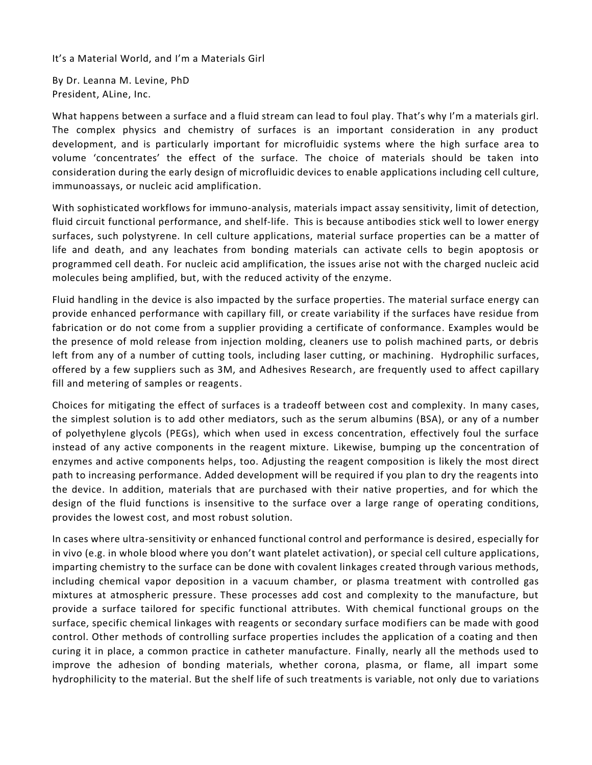It's a Material World, and I'm a Materials Girl

By Dr. Leanna M. Levine, PhD President, ALine, Inc.

What happens between a surface and a fluid stream can lead to foul play. That's why I'm a materials girl. The complex physics and chemistry of surfaces is an important consideration in any product development, and is particularly important for microfluidic systems where the high surface area to volume 'concentrates' the effect of the surface. The choice of materials should be taken into consideration during the early design of microfluidic devices to enable applications including cell culture, immunoassays, or nucleic acid amplification.

With sophisticated workflows for immuno-analysis, materials impact assay sensitivity, limit of detection, fluid circuit functional performance, and shelf-life. This is because antibodies stick well to lower energy surfaces, such polystyrene. In cell culture applications, material surface properties can be a matter of life and death, and any leachates from bonding materials can activate cells to begin apoptosis or programmed cell death. For nucleic acid amplification, the issues arise not with the charged nucleic acid molecules being amplified, but, with the reduced activity of the enzyme.

Fluid handling in the device is also impacted by the surface properties. The material surface energy can provide enhanced performance with capillary fill, or create variability if the surfaces have residue from fabrication or do not come from a supplier providing a certificate of conformance. Examples would be the presence of mold release from injection molding, cleaners use to polish machined parts, or debris left from any of a number of cutting tools, including laser cutting, or machining. Hydrophilic surfaces, offered by a few suppliers such as 3M, and Adhesives Research, are frequently used to affect capillary fill and metering of samples or reagents.

Choices for mitigating the effect of surfaces is a tradeoff between cost and complexity. In many cases, the simplest solution is to add other mediators, such as the serum albumins (BSA), or any of a number of polyethylene glycols (PEGs), which when used in excess concentration, effectively foul the surface instead of any active components in the reagent mixture. Likewise, bumping up the concentration of enzymes and active components helps, too. Adjusting the reagent composition is likely the most direct path to increasing performance. Added development will be required if you plan to dry the reagents into the device. In addition, materials that are purchased with their native properties, and for which the design of the fluid functions is insensitive to the surface over a large range of operating conditions, provides the lowest cost, and most robust solution.

In cases where ultra-sensitivity or enhanced functional control and performance is desired, especially for in vivo (e.g. in whole blood where you don't want platelet activation), or special cell culture applications, imparting chemistry to the surface can be done with covalent linkages created through various methods, including chemical vapor deposition in a vacuum chamber, or plasma treatment with controlled gas mixtures at atmospheric pressure. These processes add cost and complexity to the manufacture, but provide a surface tailored for specific functional attributes. With chemical functional groups on the surface, specific chemical linkages with reagents or secondary surface modifiers can be made with good control. Other methods of controlling surface properties includes the application of a coating and then curing it in place, a common practice in catheter manufacture. Finally, nearly all the methods used to improve the adhesion of bonding materials, whether corona, plasma, or flame, all impart some hydrophilicity to the material. But the shelf life of such treatments is variable, not only due to variations